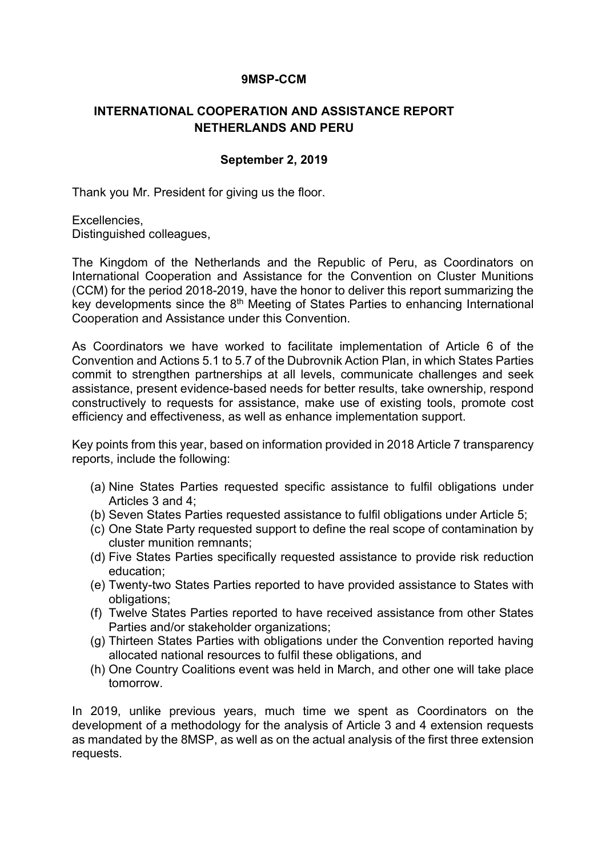## 9MSP-CCM

## INTERNATIONAL COOPERATION AND ASSISTANCE REPORT NETHERLANDS AND PERU

## September 2, 2019

Thank you Mr. President for giving us the floor.

Excellencies, Distinguished colleagues,

The Kingdom of the Netherlands and the Republic of Peru, as Coordinators on International Cooperation and Assistance for the Convention on Cluster Munitions (CCM) for the period 2018-2019, have the honor to deliver this report summarizing the key developments since the  $8<sup>th</sup>$  Meeting of States Parties to enhancing International Cooperation and Assistance under this Convention.

As Coordinators we have worked to facilitate implementation of Article 6 of the Convention and Actions 5.1 to 5.7 of the Dubrovnik Action Plan, in which States Parties commit to strengthen partnerships at all levels, communicate challenges and seek assistance, present evidence-based needs for better results, take ownership, respond constructively to requests for assistance, make use of existing tools, promote cost efficiency and effectiveness, as well as enhance implementation support.

Key points from this year, based on information provided in 2018 Article 7 transparency reports, include the following:

- (a) Nine States Parties requested specific assistance to fulfil obligations under Articles 3 and 4;
- (b) Seven States Parties requested assistance to fulfil obligations under Article 5;
- (c) One State Party requested support to define the real scope of contamination by cluster munition remnants;
- (d) Five States Parties specifically requested assistance to provide risk reduction education;
- (e) Twenty-two States Parties reported to have provided assistance to States with obligations;
- (f) Twelve States Parties reported to have received assistance from other States Parties and/or stakeholder organizations;
- (g) Thirteen States Parties with obligations under the Convention reported having allocated national resources to fulfil these obligations, and
- (h) One Country Coalitions event was held in March, and other one will take place tomorrow.

In 2019, unlike previous years, much time we spent as Coordinators on the development of a methodology for the analysis of Article 3 and 4 extension requests as mandated by the 8MSP, as well as on the actual analysis of the first three extension requests.